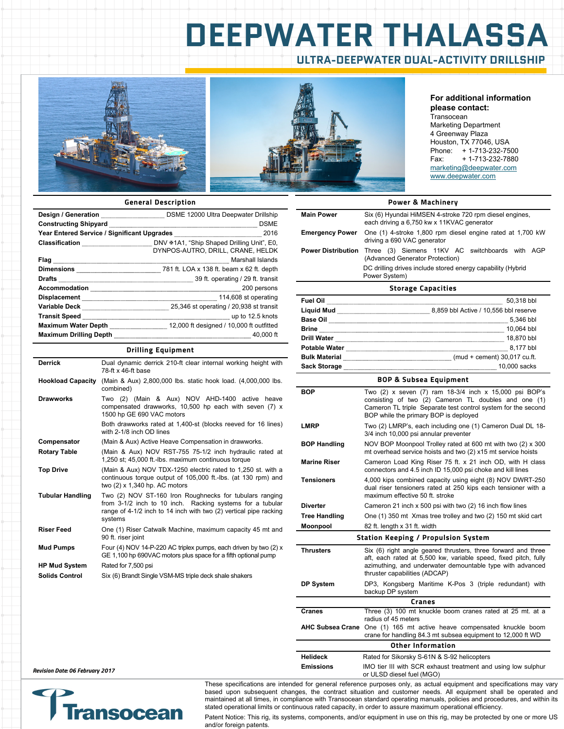## **DEEPWATER THALASSA ULTRA-DEEPWATER DUAL-ACTIVITY DRILLSHIP**





#### **For additional information please contact:**

**Transocean** Marketing Department 4 Greenway Plaza Houston, TX 77046, USA Phone: + 1-713-232-7500<br>Fax: + 1-713-232-7880 + 1-713-232-7880 marketing@deepwater.com www.deepwater.com

#### **General Description**

| Constructing Shipyard <b>Ensimiliarism and Construction</b> DSME                                                                                                                                                                    |
|-------------------------------------------------------------------------------------------------------------------------------------------------------------------------------------------------------------------------------------|
|                                                                                                                                                                                                                                     |
| DYNPOS-AUTRO, DRILL, CRANE, HELDK                                                                                                                                                                                                   |
|                                                                                                                                                                                                                                     |
|                                                                                                                                                                                                                                     |
| Drafts <b>Example 29 ft.</b> transit                                                                                                                                                                                                |
| Accommodation <b>Election</b> 200 persons                                                                                                                                                                                           |
| Displacement <b>Election</b> Construction and the set operating                                                                                                                                                                     |
| Variable Deck <b>Election</b> Secret Manual Manual Manual Manual Manual Manual Manual Manual Manual Manual Manual Manual                                                                                                            |
| Transit Speed <b>Election</b> Speed Construction of the Speed Construction of the Speed Construction of the Speed Constant Of the Speed Construction of the Speed Constant Of the Speed Construction of the Speed Construction of t |
|                                                                                                                                                                                                                                     |
| Maximum Drilling Depth <b>Constitution</b> 20,000 ft                                                                                                                                                                                |

#### **Drilling Equipment**

| <b>Derrick</b>           | Dual dynamic derrick 210-ft clear internal working height with<br>78-ft x 46-ft base                                                                                                                 |
|--------------------------|------------------------------------------------------------------------------------------------------------------------------------------------------------------------------------------------------|
| <b>Hookload Capacity</b> | (Main & Aux) 2,800,000 lbs. static hook load. (4,000,000 lbs.<br>combined)                                                                                                                           |
| <b>Drawworks</b>         | Two (2) (Main & Aux) NOV AHD-1400 active heave<br>compensated drawworks, 10,500 hp each with seven (7) x<br>1500 hp GE 690 VAC motors                                                                |
|                          | Both drawworks rated at 1,400-st (blocks reeved for 16 lines)<br>with 2-1/8 inch OD lines                                                                                                            |
| Compensator              | (Main & Aux) Active Heave Compensation in drawworks.                                                                                                                                                 |
| <b>Rotary Table</b>      | (Main & Aux) NOV RST-755 75-1/2 inch hydraulic rated at<br>1,250 st; 45,000 ft.-lbs. maximum continuous torque                                                                                       |
| <b>Top Drive</b>         | (Main & Aux) NOV TDX-1250 electric rated to 1,250 st. with a<br>continuous torque output of 105,000 ft.-lbs. (at 130 rpm) and<br>two (2) x 1,340 hp. AC motors                                       |
| <b>Tubular Handling</b>  | Two (2) NOV ST-160 Iron Roughnecks for tubulars ranging<br>from 3-1/2 inch to 10 inch. Racking systems for a tubular<br>range of 4-1/2 inch to 14 inch with two (2) vertical pipe racking<br>systems |
| <b>Riser Feed</b>        | One (1) Riser Catwalk Machine, maximum capacity 45 mt and<br>90 ft. riser joint                                                                                                                      |
| <b>Mud Pumps</b>         | Four (4) NOV 14-P-220 AC triplex pumps, each driven by two (2) x<br>GE 1,100 hp 690VAC motors plus space for a fifth optional pump                                                                   |
| <b>HP Mud System</b>     | Rated for 7,500 psi                                                                                                                                                                                  |
| <b>Solids Control</b>    | Six (6) Brandt Single VSM-MS triple deck shale shakers                                                                                                                                               |

|                           | <b>Power &amp; Machinery</b>                                                                          |  |
|---------------------------|-------------------------------------------------------------------------------------------------------|--|
| <b>Main Power</b>         | Six (6) Hyundai HiMSEN 4-stroke 720 rpm diesel engines,<br>each driving a 6,750 kw x 11KVAC generator |  |
| <b>Emergency Power</b>    | One (1) 4-stroke 1,800 rpm diesel engine rated at 1,700 kW<br>driving a 690 VAC generator             |  |
| <b>Power Distribution</b> | Three (3) Siemens 11KV AC switchboards with AGP<br>(Advanced Generator Protection)                    |  |
|                           | DC drilling drives include stored energy capability (Hybrid<br>Power System)                          |  |
| <b>Storage Capacities</b> |                                                                                                       |  |

| . <b>. .</b>         |                                       |
|----------------------|---------------------------------------|
| <b>Fuel Oil</b>      | 50.318 bbl                            |
| <b>Liquid Mud</b>    | 8,859 bbl Active / 10,556 bbl reserve |
| <b>Base Oil</b>      | 5,346 bbl                             |
| <b>Brine</b>         | 10.064 bbl                            |
| <b>Drill Water</b>   | 18.870 bbl                            |
| <b>Potable Water</b> | 8.177 bbl                             |
| <b>Bulk Material</b> | (mud + cement) 30,017 cu.ft.          |
| <b>Sack Storage</b>  | 10,000 sacks                          |

#### **BOP & Subsea Equipment**

| <b>BOP</b>                                 | Two $(2)$ x seven $(7)$ ram 18-3/4 inch x 15,000 psi BOP's<br>consisting of two (2) Cameron TL doubles and one (1)<br>Cameron TL triple Separate test control system for the second<br>BOP while the primary BOP is deployed   |  |
|--------------------------------------------|--------------------------------------------------------------------------------------------------------------------------------------------------------------------------------------------------------------------------------|--|
| <b>LMRP</b>                                | Two (2) LMRP's, each including one (1) Cameron Dual DL 18-<br>3/4 inch 10,000 psi annular preventer                                                                                                                            |  |
| <b>BOP Handling</b>                        | NOV BOP Moonpool Trolley rated at 600 mt with two (2) x 300<br>mt overhead service hoists and two (2) x15 mt service hoists                                                                                                    |  |
| <b>Marine Riser</b>                        | Cameron Load King Riser 75 ft. x 21 inch OD, with H class<br>connectors and 4.5 inch ID 15,000 psi choke and kill lines                                                                                                        |  |
| <b>Tensioners</b>                          | 4,000 kips combined capacity using eight (8) NOV DWRT-250<br>dual riser tensioners rated at 250 kips each tensioner with a<br>maximum effective 50 ft. stroke                                                                  |  |
| <b>Diverter</b>                            | Cameron 21 inch x 500 psi with two (2) 16 inch flow lines                                                                                                                                                                      |  |
| <b>Tree Handling</b>                       | One (1) 350 mt Xmas tree trolley and two (2) 150 mt skid cart                                                                                                                                                                  |  |
| Moonpool                                   | 82 ft. length x 31 ft. width                                                                                                                                                                                                   |  |
| <b>Station Keeping / Propulsion System</b> |                                                                                                                                                                                                                                |  |
|                                            |                                                                                                                                                                                                                                |  |
| <b>Thrusters</b>                           | Six (6) right angle geared thrusters, three forward and three<br>aft, each rated at 5,500 kw, variable speed, fixed pitch, fully<br>azimuthing, and underwater demountable type with advanced<br>thruster capabilities (ADCAP) |  |
| <b>DP System</b>                           | DP3, Kongsberg Maritime K-Pos 3 (triple redundant) with<br>backup DP system                                                                                                                                                    |  |
|                                            | Cranes                                                                                                                                                                                                                         |  |
| Cranes                                     | Three (3) 100 mt knuckle boom cranes rated at 25 mt. at a                                                                                                                                                                      |  |
| <b>AHC Subsea Crane</b>                    | radius of 45 meters<br>One (1) 165 mt active heave compensated knuckle boom<br>crane for handling 84.3 mt subsea equipment to 12,000 ft WD                                                                                     |  |
|                                            | Other Information                                                                                                                                                                                                              |  |
| <b>Helideck</b>                            | Rated for Sikorsky S-61N & S-92 helicopters                                                                                                                                                                                    |  |
| <b>Emissions</b>                           | IMO tier III with SCR exhaust treatment and using low sulphur<br>or ULSD diesel fuel (MGO)                                                                                                                                     |  |

**Revision Date: 06 February 2017** 



These specifications are intended for general reference purposes only, as actual equipment and specifications may vary based upon subsequent changes, the contract situation and customer needs. All equipment shall be operated and maintained at all times, in compliance with Transocean standard operating manuals, policies and procedures, and within its stated operational limits or continuous rated capacity, in order to assure maximum operational efficiency.

Patent Notice: This rig, its systems, components, and/or equipment in use on this rig, may be protected by one or more US and/or foreign patents.